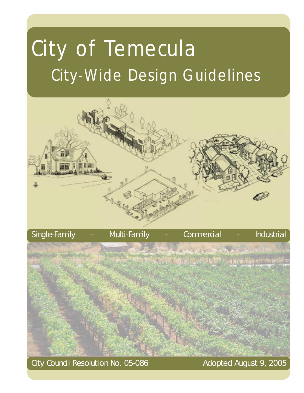## City of Temecula City-Wide Design Guidelines



Single-Family - Multi-Family - Commercial - Industrial

City Council Resolution No. 05-086 Adopted August 9, 2005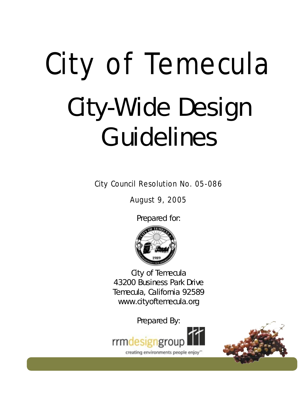## City of Temecula City-Wide Design Guidelines

City Council Resolution No. 05-086

August 9, 2005

Prepared for:



City of Temecula 43200 Business Park Drive Temecula, California 92589 www.cityoftemecula.org

Prepared By:



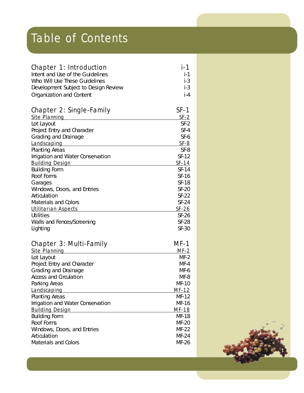## Table of Contents

| <b>Chapter 1: Introduction</b>         | <b>i-1</b>              |
|----------------------------------------|-------------------------|
| Intent and Use of the Guidelines       | $i-1$                   |
| Who Will Use These Guidelines          | $i-3$                   |
| Development Subject to Design Review   | $i-3$                   |
| Organization and Content               | $i-4$                   |
| <b>Chapter 2: Single-Family</b>        | $SF-1$                  |
| <b>Site Planning</b>                   | <b>SF-2</b>             |
| Lot Layout                             | $SF-2$                  |
| Project Entry and Character            | $SF-4$                  |
| Grading and Drainage                   | SF-6                    |
| Landscaping                            | <b>SF-8</b>             |
| <b>Planting Areas</b>                  | SF-8                    |
| Irrigation and Water Conservation      | SF-12                   |
| <b>Building Design</b>                 | <b>SF-14</b>            |
| <b>Building Form</b>                   | SF-14                   |
| Roof Forms                             | SF-16                   |
| Garages                                | <b>SF-18</b>            |
| Windows, Doors, and Entries            | <b>SF-20</b>            |
| Articulation                           | $SF-22$                 |
| <b>Materials and Colors</b>            | $SF-24$                 |
| <b>Utilitarian Aspects</b>             | <b>SF-26</b>            |
| <b>Utilities</b>                       | $SF-26$<br><b>SF-28</b> |
| Walls and Fences/Screening<br>Lighting | <b>SF-30</b>            |
|                                        |                         |
| <b>Chapter 3: Multi-Family</b>         | MF-1                    |
| <b>Site Planning</b>                   | <u>MF-2</u>             |
| Lot Layout                             | $MF-2$                  |
| Project Entry and Character            | $MF-4$                  |
| Grading and Drainage                   | MF-6                    |
| <b>Access and Circulation</b>          | MF-8<br>$MF-10$         |
| Parking Areas                          |                         |
| Landscaping<br><b>Planting Areas</b>   | <b>MF-12</b><br>MF-12   |
| Irrigation and Water Conservation      | MF-16                   |
| <b>Building Design</b>                 | <b>MF-18</b>            |
| <b>Building Form</b>                   | <b>MF-18</b>            |
| Roof Forms                             | MF-20                   |
| Windows, Doors, and Entries            | MF-22                   |
| Articulation                           | MF-24                   |
| <b>Materials and Colors</b>            | MF-26                   |
|                                        |                         |

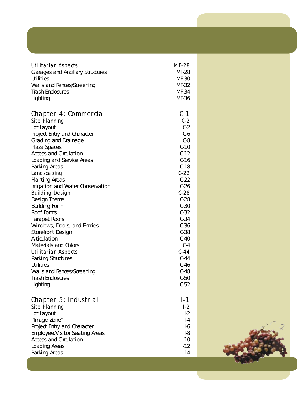| <b>Utilitarian Aspects</b>                | <b>MF-28</b>   |
|-------------------------------------------|----------------|
| <b>Garages and Ancillary Structures</b>   | <b>MF-28</b>   |
| <b>Utilities</b>                          | MF-30          |
| Walls and Fences/Screening                | MF-32          |
| <b>Trash Enclosures</b>                   | MF-34          |
| Lighting                                  | MF-36          |
| <b>Chapter 4: Commercial</b>              | C-1            |
| <b>Site Planning</b>                      | $C-2$<br>$C-2$ |
| Lot Layout<br>Project Entry and Character | $C-6$          |
| Grading and Drainage                      | $C-8$          |
| Plaza Spaces                              | $C-10$         |
| <b>Access and Circulation</b>             | $C-12$         |
| Loading and Service Areas                 | $C-16$         |
| Parking Areas                             | $C-18$         |
| Landscaping                               | $C - 22$       |
| <b>Planting Areas</b>                     | $C-22$         |
| Irrigation and Water Conservation         | $C-26$         |
| <b>Building Design</b>                    | $C-28$         |
| Design Theme                              | $C-28$         |
| <b>Building Form</b>                      | $C-30$         |
| Roof Forms                                | $C-32$         |
| Parapet Roofs                             | $C-34$         |
| Windows, Doors, and Entries               | $C-36$         |
| <b>Storefront Design</b>                  | $C-38$         |
| Articulation                              | $C-40$         |
| <b>Materials and Colors</b>               | $C-4$          |
| <b>Utilitarian Aspects</b>                | $C-44$         |
| <b>Parking Structures</b>                 | $C-44$         |
| <b>Utilities</b>                          | $C-46$         |
| Walls and Fences/Screening                | $C-48$         |
| <b>Trash Enclosures</b>                   | $C-50$         |
| Lighting                                  | $C-52$         |
| <b>Chapter 5: Industrial</b>              | $I-1$          |
| <b>Site Planning</b>                      |                |
| Lot Layout                                | L <sub>2</sub> |
| "Image Zone"                              | $-4$           |
| Project Entry and Character               | $-6$           |
| <b>Employee/Visitor Seating Areas</b>     | $-8$           |
| <b>Access and Circulation</b>             | $I-10$         |
| Loading Areas                             | $-12$          |
| Parking Areas                             | $-14$          |